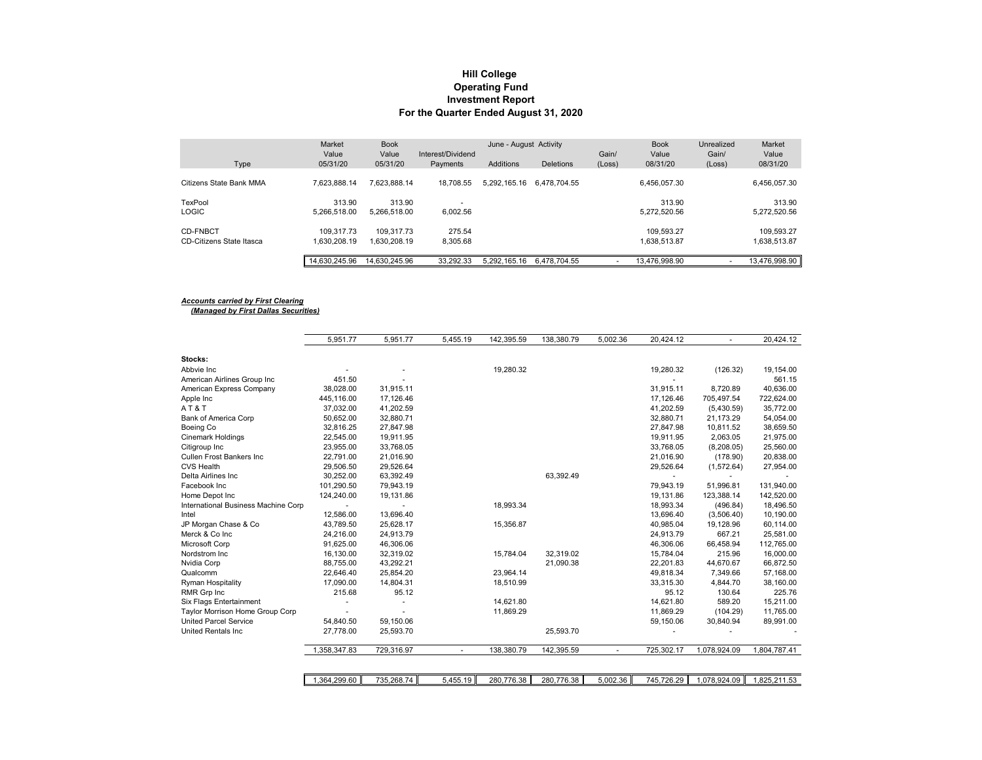## **Hill College Operating Fund For the Quarter Ended August 31, 2020 Investment Report**

|                          | Market<br>Value | <b>Book</b><br>Value | Interest/Dividend | June - August Activity |                  | Gain/  | <b>Book</b><br>Value | Unrealized<br>Gain/ | Market<br>Value |
|--------------------------|-----------------|----------------------|-------------------|------------------------|------------------|--------|----------------------|---------------------|-----------------|
| Type                     | 05/31/20        | 05/31/20             | Payments          | Additions              | <b>Deletions</b> | (Loss) | 08/31/20             | (Loss)              | 08/31/20        |
| Citizens State Bank MMA  | 7.623.888.14    | 7.623.888.14         | 18,708.55         | 5.292.165.16           | 6.478.704.55     |        | 6.456.057.30         |                     | 6.456.057.30    |
| TexPool                  | 313.90          | 313.90               |                   |                        |                  |        | 313.90               |                     | 313.90          |
| <b>LOGIC</b>             | 5.266.518.00    | 5.266.518.00         | 6.002.56          |                        |                  |        | 5.272.520.56         |                     | 5,272,520.56    |
| <b>CD-FNBCT</b>          | 109.317.73      | 109.317.73           | 275.54            |                        |                  |        | 109.593.27           |                     | 109,593.27      |
| CD-Citizens State Itasca | 1.630.208.19    | 1.630.208.19         | 8,305.68          |                        |                  |        | 1,638,513.87         |                     | 1,638,513.87    |
|                          | 14,630,245.96   | 14,630,245.96        | 33,292.33         | 5.292.165.16           | 6,478,704.55     |        | 13.476.998.90        |                     | 13,476,998.90   |

#### *Accounts carried by First Clearing (Managed by First Dallas Securities)*

|                                                         | 5,951.77                | 5,951.77   | 5,455.19       | 142,395.59 | 138,380.79 | 5,002.36 | 20,424.12  |                          | 20,424.12               |
|---------------------------------------------------------|-------------------------|------------|----------------|------------|------------|----------|------------|--------------------------|-------------------------|
| Stocks:                                                 |                         |            |                |            |            |          |            |                          |                         |
| Abbvie Inc                                              |                         |            |                |            |            |          |            |                          |                         |
|                                                         | 451.50                  |            |                | 19,280.32  |            |          | 19,280.32  | (126.32)                 | 19,154.00<br>561.15     |
| American Airlines Group Inc<br>American Express Company | 38,028.00               | 31,915.11  |                |            |            |          | 31,915.11  | 8,720.89                 | 40,636.00               |
|                                                         |                         | 17.126.46  |                |            |            |          | 17.126.46  |                          |                         |
| Apple Inc<br>AT&T                                       | 445,116.00<br>37,032.00 | 41,202.59  |                |            |            |          | 41,202.59  | 705,497.54<br>(5,430.59) | 722,624.00<br>35,772.00 |
|                                                         |                         |            |                |            |            |          |            |                          |                         |
| Bank of America Corp                                    | 50,652.00               | 32,880.71  |                |            |            |          | 32,880.71  | 21,173.29                | 54,054.00               |
| Boeing Co                                               | 32,816.25               | 27.847.98  |                |            |            |          | 27.847.98  | 10,811.52                | 38,659.50               |
| <b>Cinemark Holdings</b>                                | 22,545.00               | 19,911.95  |                |            |            |          | 19,911.95  | 2,063.05                 | 21,975.00               |
| Citigroup Inc                                           | 23,955.00               | 33,768.05  |                |            |            |          | 33,768.05  | (8, 208.05)              | 25,560.00               |
| <b>Cullen Frost Bankers Inc.</b>                        | 22,791.00               | 21,016.90  |                |            |            |          | 21,016.90  | (178.90)                 | 20,838.00               |
| <b>CVS Health</b>                                       | 29,506.50               | 29,526.64  |                |            |            |          | 29,526.64  | (1,572.64)               | 27,954.00               |
| Delta Airlines Inc                                      | 30,252.00               | 63,392.49  |                |            | 63,392.49  |          |            |                          |                         |
| Facebook Inc                                            | 101,290.50              | 79,943.19  |                |            |            |          | 79,943.19  | 51,996.81                | 131,940.00              |
| Home Depot Inc                                          | 124,240.00              | 19,131.86  |                |            |            |          | 19,131.86  | 123,388.14               | 142,520.00              |
| International Business Machine Corp                     |                         |            |                | 18,993.34  |            |          | 18,993.34  | (496.84)                 | 18,496.50               |
| Intel                                                   | 12,586.00               | 13,696.40  |                |            |            |          | 13,696.40  | (3,506.40)               | 10,190.00               |
| JP Morgan Chase & Co                                    | 43,789.50               | 25,628.17  |                | 15,356.87  |            |          | 40,985.04  | 19,128.96                | 60,114.00               |
| Merck & Co Inc                                          | 24,216.00               | 24,913.79  |                |            |            |          | 24,913.79  | 667.21                   | 25,581.00               |
| Microsoft Corp                                          | 91,625.00               | 46,306.06  |                |            |            |          | 46,306.06  | 66,458.94                | 112,765.00              |
| Nordstrom Inc                                           | 16,130.00               | 32,319.02  |                | 15,784.04  | 32,319.02  |          | 15,784.04  | 215.96                   | 16,000.00               |
| Nvidia Corp                                             | 88,755.00               | 43,292.21  |                |            | 21,090.38  |          | 22,201.83  | 44,670.67                | 66,872.50               |
| Qualcomm                                                | 22,646.40               | 25,854.20  |                | 23,964.14  |            |          | 49,818.34  | 7,349.66                 | 57,168.00               |
| <b>Ryman Hospitality</b>                                | 17,090.00               | 14,804.31  |                | 18,510.99  |            |          | 33,315.30  | 4,844.70                 | 38,160.00               |
| RMR Grp Inc                                             | 215.68                  | 95.12      |                |            |            |          | 95.12      | 130.64                   | 225.76                  |
| Six Flags Entertainment                                 |                         |            |                | 14,621.80  |            |          | 14,621.80  | 589.20                   | 15,211.00               |
| Taylor Morrison Home Group Corp                         |                         |            |                | 11,869.29  |            |          | 11,869.29  | (104.29)                 | 11,765.00               |
| <b>United Parcel Service</b>                            | 54,840.50               | 59,150.06  |                |            |            |          | 59,150.06  | 30,840.94                | 89,991.00               |
| <b>United Rentals Inc.</b>                              | 27,778.00               | 25,593.70  |                |            | 25,593.70  |          |            |                          |                         |
|                                                         | 1,358,347.83            | 729,316.97 | $\blacksquare$ | 138,380.79 | 142,395.59 | $\sim$   | 725,302.17 | 1,078,924.09             | 1,804,787.41            |
|                                                         |                         |            |                |            |            |          |            |                          |                         |
|                                                         | 1,364,299.60            | 735,268.74 | 5,455.19       | 280,776.38 | 280,776.38 | 5,002.36 | 745,726.29 | 1,078,924.09             | 1,825,211.53            |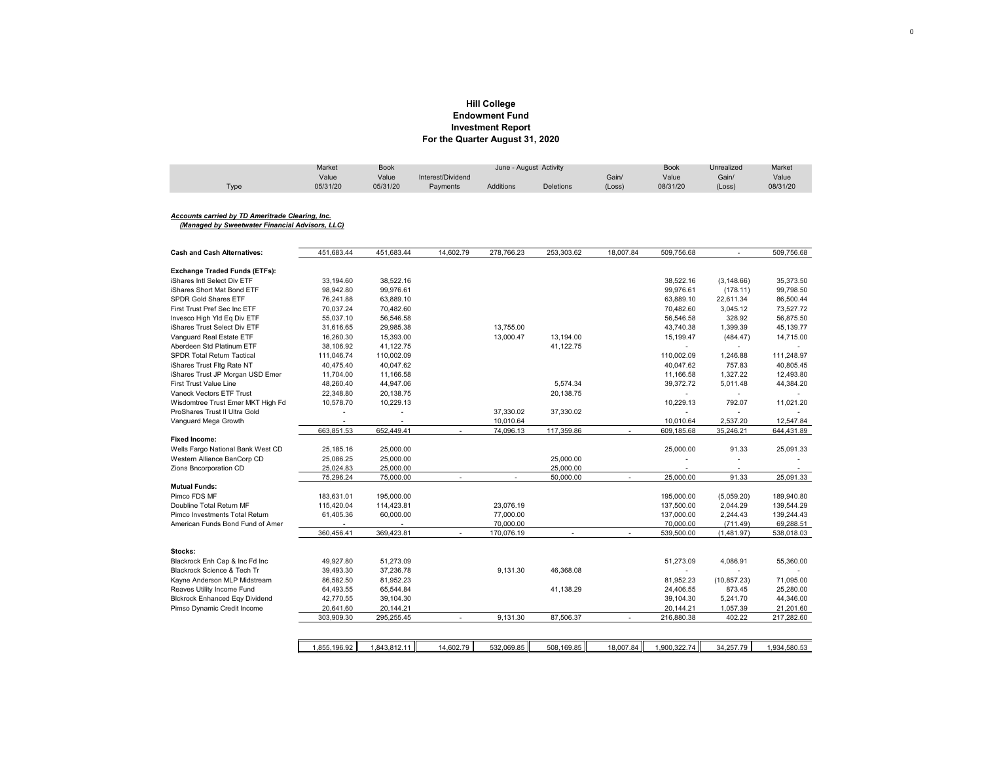## **Hill College Investment Report For the Quarter August 31, 2020 Endowment Fund**

|      | Market   | Book     | June - August Activity |                  |                  |        | <b>Book</b> | Unrealized | Market   |
|------|----------|----------|------------------------|------------------|------------------|--------|-------------|------------|----------|
|      | Value    | Value    | Interest/Dividend      |                  |                  | Gain/  | Value       | Gain/      | Value    |
| Type | 05/31/20 | 05/31/20 | Payments               | <b>Additions</b> | <b>Deletions</b> | (Loss) | 08/31/20    | (Loss)     | 08/31/20 |

### *Accounts carried by TD Ameritrade Clearing, Inc.*

 *(Managed by Sweetwater Financial Advisors, LLC)*

| <b>Cash and Cash Alternatives:</b>    | 451,683.44     | 451,683.44     | 14,602.79                | 278,766.23     | 253,303.62 | 18,007.84                | 509,756.68               |                          | 509,756.68   |
|---------------------------------------|----------------|----------------|--------------------------|----------------|------------|--------------------------|--------------------------|--------------------------|--------------|
|                                       |                |                |                          |                |            |                          |                          |                          |              |
| <b>Exchange Traded Funds (ETFs):</b>  |                |                |                          |                |            |                          |                          |                          |              |
| iShares Intl Select Div ETF           | 33,194.60      | 38,522.16      |                          |                |            |                          | 38.522.16                | (3, 148.66)              | 35.373.50    |
| iShares Short Mat Bond ETF            | 98,942.80      | 99,976.61      |                          |                |            |                          | 99,976.61                | (178.11)                 | 99,798.50    |
| <b>SPDR Gold Shares ETF</b>           | 76,241.88      | 63,889.10      |                          |                |            |                          | 63,889.10                | 22,611.34                | 86,500.44    |
| First Trust Pref Sec Inc ETF          | 70,037.24      | 70,482.60      |                          |                |            |                          | 70,482.60                | 3,045.12                 | 73,527.72    |
| Invesco High YId Eq Div ETF           | 55,037.10      | 56,546.58      |                          |                |            |                          | 56,546.58                | 328.92                   | 56,875.50    |
| iShares Trust Select Div ETF          | 31,616.65      | 29,985.38      |                          | 13,755.00      |            |                          | 43,740.38                | 1,399.39                 | 45,139.77    |
| Vanguard Real Estate ETF              | 16,260.30      | 15,393.00      |                          | 13,000.47      | 13,194.00  |                          | 15,199.47                | (484.47)                 | 14,715.00    |
| Aberdeen Std Platinum ETF             | 38,106.92      | 41,122.75      |                          |                | 41,122.75  |                          | $\sim$                   |                          |              |
| <b>SPDR Total Return Tactical</b>     | 111,046.74     | 110,002.09     |                          |                |            |                          | 110,002.09               | 1,246.88                 | 111,248.97   |
| iShares Trust Fltg Rate NT            | 40,475.40      | 40,047.62      |                          |                |            |                          | 40,047.62                | 757.83                   | 40,805.45    |
| iShares Trust JP Morgan USD Emer      | 11,704.00      | 11,166.58      |                          |                |            |                          | 11,166.58                | 1,327.22                 | 12,493.80    |
| <b>First Trust Value Line</b>         | 48,260.40      | 44,947.06      |                          |                | 5,574.34   |                          | 39,372.72                | 5,011.48                 | 44,384.20    |
| Vaneck Vectors ETF Trust              | 22,348.80      | 20,138.75      |                          |                | 20,138.75  |                          | $\overline{\phantom{a}}$ | $\overline{\phantom{a}}$ |              |
| Wisdomtree Trust Emer MKT High Fd     | 10.578.70      | 10.229.13      |                          |                |            |                          | 10,229.13                | 792.07                   | 11,021.20    |
| ProShares Trust II Ultra Gold         | $\overline{a}$ | $\overline{a}$ |                          | 37,330.02      | 37,330.02  |                          | $\blacksquare$           | $\overline{\phantom{a}}$ |              |
| Vanguard Mega Growth                  |                |                |                          | 10,010.64      |            |                          | 10,010.64                | 2,537.20                 | 12,547.84    |
|                                       | 663,851.53     | 652,449.41     | $\sim$                   | 74,096.13      | 117,359.86 | $\sim$                   | 609,185.68               | 35,246.21                | 644,431.89   |
| <b>Fixed Income:</b>                  |                |                |                          |                |            |                          |                          |                          |              |
| Wells Fargo National Bank West CD     | 25,185.16      | 25,000.00      |                          |                |            |                          | 25,000.00                | 91.33                    | 25,091.33    |
| Western Alliance BanCorp CD           | 25,086.25      | 25,000.00      |                          |                | 25,000.00  |                          |                          |                          |              |
| Zions Bncorporation CD                | 25,024.83      | 25,000.00      |                          |                | 25,000.00  |                          |                          | $\blacksquare$           |              |
|                                       | 75,296.24      | 75,000.00      | $\overline{\phantom{a}}$ | $\blacksquare$ | 50,000.00  | $\overline{\phantom{a}}$ | 25,000.00                | 91.33                    | 25,091.33    |
| <b>Mutual Funds:</b>                  |                |                |                          |                |            |                          |                          |                          |              |
| Pimco FDS MF                          | 183,631.01     | 195,000.00     |                          |                |            |                          | 195,000.00               | (5,059.20)               | 189,940.80   |
| Doubline Total Return MF              | 115.420.04     | 114,423.81     |                          | 23,076.19      |            |                          | 137,500.00               | 2,044.29                 | 139,544.29   |
| Pimco Investments Total Return        | 61,405.36      | 60,000.00      |                          | 77,000.00      |            |                          | 137,000.00               | 2,244.43                 | 139,244.43   |
| American Funds Bond Fund of Amer      |                |                |                          | 70,000.00      |            |                          | 70,000.00                | (711.49)                 | 69,288.51    |
|                                       | 360,456.41     | 369,423.81     | $\sim$                   | 170,076.19     | $\sim$     | $\sim$                   | 539,500.00               | (1,481.97)               | 538,018.03   |
|                                       |                |                |                          |                |            |                          |                          |                          |              |
| Stocks:                               |                |                |                          |                |            |                          |                          |                          |              |
| Blackrock Enh Cap & Inc Fd Inc        | 49,927.80      | 51,273.09      |                          |                |            |                          | 51,273.09                | 4,086.91                 | 55,360.00    |
| Blackrock Science & Tech Tr           | 39,493.30      | 37,236.78      |                          | 9,131.30       | 46,368.08  |                          | $\sim$                   |                          |              |
| Kayne Anderson MLP Midstream          | 86,582.50      | 81,952.23      |                          |                |            |                          | 81,952.23                | (10, 857.23)             | 71,095.00    |
| Reaves Utility Income Fund            | 64,493.55      | 65,544.84      |                          |                | 41,138.29  |                          | 24,406.55                | 873.45                   | 25,280.00    |
| <b>Blckrock Enhanced Eqy Dividend</b> | 42,770.55      | 39,104.30      |                          |                |            |                          | 39,104.30                | 5,241.70                 | 44,346.00    |
| Pimso Dynamic Credit Income           | 20,641.60      | 20,144.21      |                          |                |            |                          | 20,144.21                | 1,057.39                 | 21,201.60    |
|                                       | 303,909.30     | 295,255.45     |                          | 9,131.30       | 87,506.37  | $\overline{\phantom{a}}$ | 216,880.38               | 402.22                   | 217,282.60   |
|                                       |                |                |                          |                |            |                          |                          |                          |              |
|                                       |                |                |                          |                |            |                          |                          |                          |              |
|                                       | 1,855,196.92   | 1,843,812.11   | 14,602.79                | 532,069.85     | 508,169.85 | 18,007.84                | 1,900,322.74             | 34,257.79                | 1,934,580.53 |